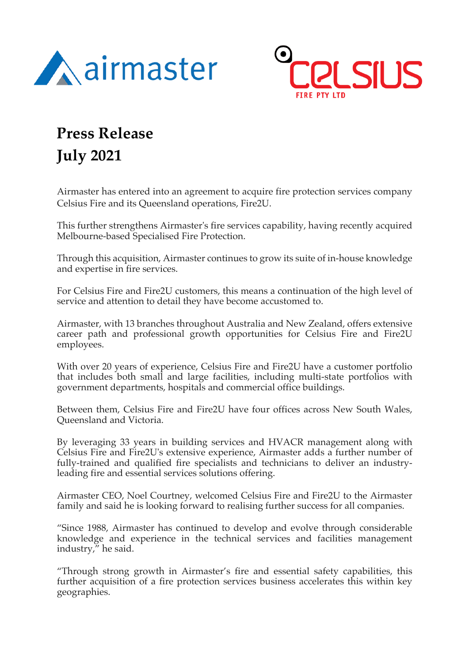



## **Press Release**

## **July 2021**

Airmaster has entered into an agreement to acquire fire protection services company Celsius Fire and its Queensland operations, Fire2U.

This further strengthens Airmaster's fire services capability, having recently acquired Melbourne-based Specialised Fire Protection.

Through this acquisition, Airmaster continues to grow its suite of in-house knowledge and expertise in fire services.

For Celsius Fire and Fire2U customers, this means a continuation of the high level of service and attention to detail they have become accustomed to.

Airmaster, with 13 branches throughout Australia and New Zealand, offers extensive career path and professional growth opportunities for Celsius Fire and Fire2U employees.

With over 20 years of experience, Celsius Fire and Fire2U have a customer portfolio that includes both small and large facilities, including multi-state portfolios with government departments, hospitals and commercial office buildings.

Between them, Celsius Fire and Fire2U have four offices across New South Wales, Queensland and Victoria.

By leveraging 33 years in building services and HVACR management along with Celsius Fire and Fire2U's extensive experience, Airmaster adds a further number of fully-trained and qualified fire specialists and technicians to deliver an industryleading fire and essential services solutions offering.

Airmaster CEO, Noel Courtney, welcomed Celsius Fire and Fire2U to the Airmaster family and said he is looking forward to realising further success for all companies.

"Since 1988, Airmaster has continued to develop and evolve through considerable knowledge and experience in the technical services and facilities management industry," he said.

"Through strong growth in Airmaster's fire and essential safety capabilities, this further acquisition of a fire protection services business accelerates this within key geographies.